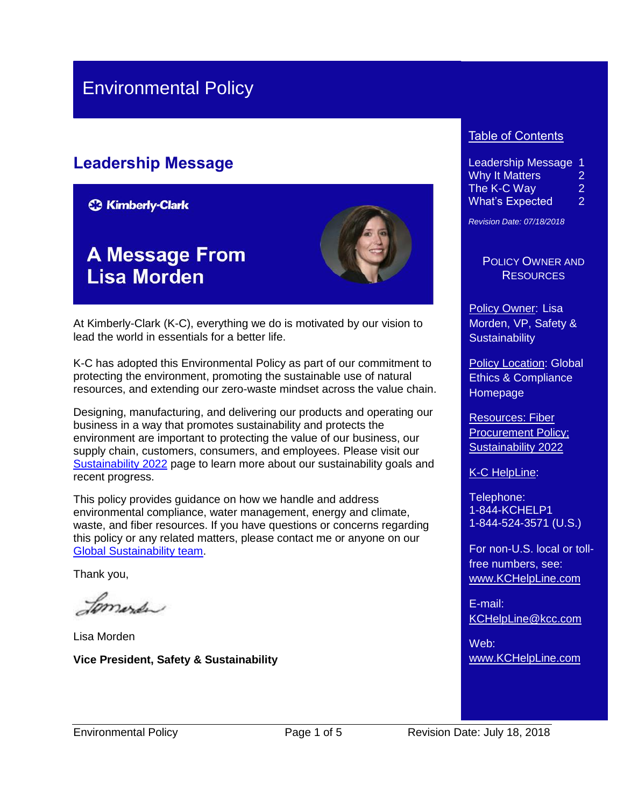## Environmental Policy

## **Leadership Message**

**C3 Kimberly-Clark** 

## **A Message From Lisa Morden**



At Kimberly-Clark (K-C), everything we do is motivated by our vision to lead the world in essentials for a better life.

K-C has adopted this Environmental Policy as part of our commitment to protecting the environment, promoting the sustainable use of natural resources, and extending our zero-waste mindset across the value chain.

Designing, manufacturing, and delivering our products and operating our business in a way that promotes sustainability and protects the environment are important to protecting the value of our business, our supply chain, customers, consumers, and employees. Please visit our [Sustainability 2022](file:///C:/Users/Shelley/AppData/Local/Microsoft/default.aspx) page to learn more about our sustainability goals and recent progress.

This policy provides guidance on how we handle and address environmental compliance, water management, energy and climate, waste, and fiber resources. If you have questions or concerns regarding this policy or any related matters, please contact me or anyone on our [Global Sustainability team.](mailto:sustainability@kcc.com?subject=Environmental%20Policy%20question)

Thank you,

Jomerda

Lisa Morden **Vice President, Safety & Sustainability**

#### Table of Contents

Leadership Message 1 Why It Matters 2 The K-C Way 2 What's Expected 2

*Revision Date: 07/18/2018*

POLICY OWNER AND **RESOURCES** 

Policy Owner: Lisa Morden, VP, Safety & **Sustainability** 

Policy Location: Global Ethics & Compliance **Homepage** 

Resources: [Fiber](https://kimberlyclark.sharepoint.com/sites/f289/RiskProgPolicy/Shared%20Documents/Fiber%20Procurement%20Policy.pdf)  [Procurement Policy;](https://kimberlyclark.sharepoint.com/sites/f289/RiskProgPolicy/Shared%20Documents/Fiber%20Procurement%20Policy.pdf) [Sustainability 2022](https://www.sustainability2022.com/)

K-C HelpLine:

Telephone: 1-844-KCHELP1 1-844-524-3571 (U.S.)

For non-U.S. local or tollfree numbers, see: [www.KCHelpLine.com](http://www.kchelpline.com/)

E-mail: [KCHelpLine@kcc.com](mailto:KCHelpLine@kcc.com)

Web: [www.KCHelpLine.com](http://www.kchelpline.com/)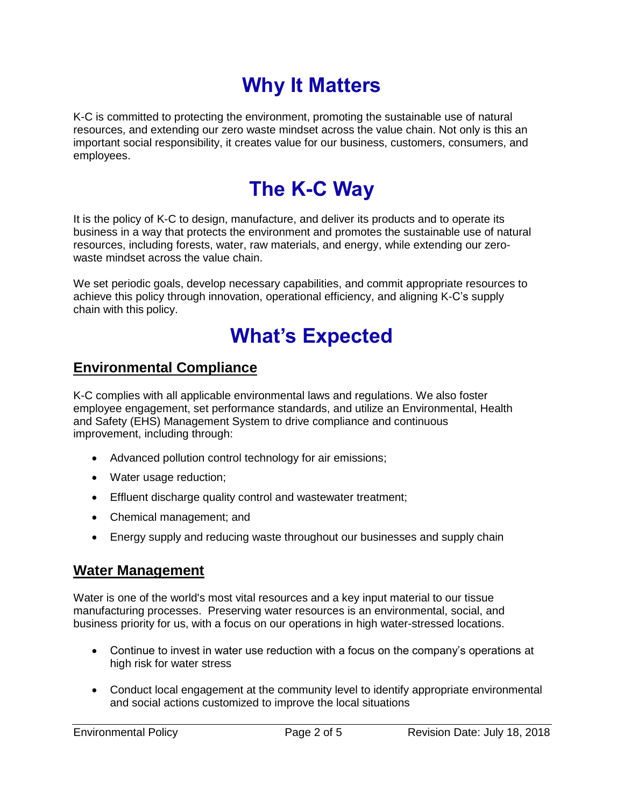# **Why It Matters**

K-C is committed to protecting the environment, promoting the sustainable use of natural resources, and extending our zero waste mindset across the value chain. Not only is this an important social responsibility, it creates value for our business, customers, consumers, and employees.

# **The K-C Way**

It is the policy of K-C to design, manufacture, and deliver its products and to operate its business in a way that protects the environment and promotes the sustainable use of natural resources, including forests, water, raw materials, and energy, while extending our zerowaste mindset across the value chain.

We set periodic goals, develop necessary capabilities, and commit appropriate resources to achieve this policy through innovation, operational efficiency, and aligning K-C's supply chain with this policy.

## **What's Expected**

#### **Environmental Compliance**

K-C complies with all applicable environmental laws and regulations. We also foster employee engagement, set performance standards, and utilize an Environmental, Health and Safety (EHS) Management System to drive compliance and continuous improvement, including through:

- Advanced pollution control technology for air emissions;
- Water usage reduction;
- **Effluent discharge quality control and wastewater treatment;**
- Chemical management; and
- Energy supply and reducing waste throughout our businesses and supply chain

#### **Water Management**

Water is one of the world's most vital resources and a key input material to our tissue manufacturing processes. Preserving water resources is an environmental, social, and business priority for us, with a focus on our operations in high water-stressed locations.

- Continue to invest in water use reduction with a focus on the company's operations at high risk for water stress
- Conduct local engagement at the community level to identify appropriate environmental and social actions customized to improve the local situations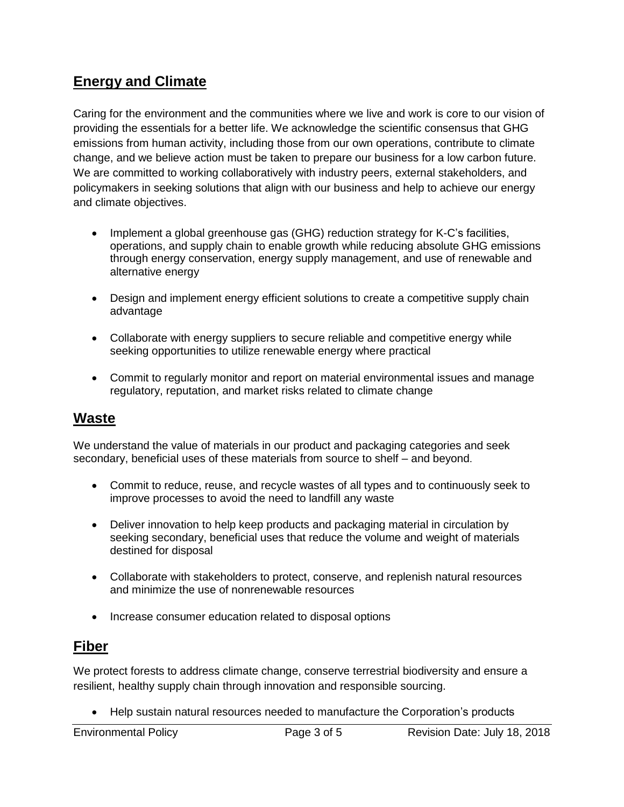## **Energy and Climate**

Caring for the environment and the communities where we live and work is core to our vision of providing the essentials for a better life. We acknowledge the scientific consensus that GHG emissions from human activity, including those from our own operations, contribute to climate change, and we believe action must be taken to prepare our business for a low carbon future. We are committed to working collaboratively with industry peers, external stakeholders, and policymakers in seeking solutions that align with our business and help to achieve our energy and climate objectives.

- Implement a global greenhouse gas (GHG) reduction strategy for K-C's facilities, operations, and supply chain to enable growth while reducing absolute GHG emissions through energy conservation, energy supply management, and use of renewable and alternative energy
- Design and implement energy efficient solutions to create a competitive supply chain advantage
- Collaborate with energy suppliers to secure reliable and competitive energy while seeking opportunities to utilize renewable energy where practical
- Commit to regularly monitor and report on material environmental issues and manage regulatory, reputation, and market risks related to climate change

### **Waste**

We understand the value of materials in our product and packaging categories and seek secondary, beneficial uses of these materials from source to shelf – and beyond.

- Commit to reduce, reuse, and recycle wastes of all types and to continuously seek to improve processes to avoid the need to landfill any waste
- Deliver innovation to help keep products and packaging material in circulation by seeking secondary, beneficial uses that reduce the volume and weight of materials destined for disposal
- Collaborate with stakeholders to protect, conserve, and replenish natural resources and minimize the use of nonrenewable resources
- Increase consumer education related to disposal options

### **Fiber**

We protect forests to address climate change, conserve terrestrial biodiversity and ensure a resilient, healthy supply chain through innovation and responsible sourcing.

Help sustain natural resources needed to manufacture the Corporation's products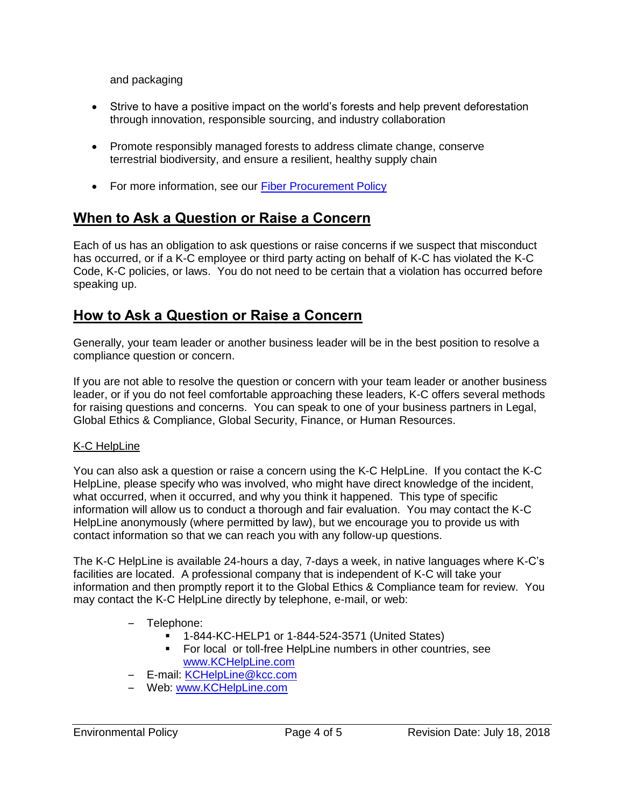and packaging

- Strive to have a positive impact on the world's forests and help prevent deforestation through innovation, responsible sourcing, and industry collaboration
- Promote responsibly managed forests to address climate change, conserve terrestrial biodiversity, and ensure a resilient, healthy supply chain
- For more information, see our [Fiber Procurement Policy](https://kimberlyclark.sharepoint.com/sites/f289/RiskProgPolicy/Shared%20Documents/Fiber%20Procurement%20Policy.pdf)

## **When to Ask a Question or Raise a Concern**

Each of us has an obligation to ask questions or raise concerns if we suspect that misconduct has occurred, or if a K-C employee or third party acting on behalf of K-C has violated the K-C Code, K-C policies, or laws. You do not need to be certain that a violation has occurred before speaking up.

## **How to Ask a Question or Raise a Concern**

Generally, your team leader or another business leader will be in the best position to resolve a compliance question or concern.

If you are not able to resolve the question or concern with your team leader or another business leader, or if you do not feel comfortable approaching these leaders, K-C offers several methods for raising questions and concerns. You can speak to one of your business partners in Legal, Global Ethics & Compliance, Global Security, Finance, or Human Resources.

#### K-C HelpLine

You can also ask a question or raise a concern using the K-C HelpLine. If you contact the K-C HelpLine, please specify who was involved, who might have direct knowledge of the incident, what occurred, when it occurred, and why you think it happened. This type of specific information will allow us to conduct a thorough and fair evaluation. You may contact the K-C HelpLine anonymously (where permitted by law), but we encourage you to provide us with contact information so that we can reach you with any follow-up questions.

The K-C HelpLine is available 24-hours a day, 7-days a week, in native languages where K-C's facilities are located. A professional company that is independent of K-C will take your information and then promptly report it to the Global Ethics & Compliance team for review. You may contact the K-C HelpLine directly by telephone, e-mail, or web:

- Telephone:
	- 1-844-KC-HELP1 or 1-844-524-3571 (United States)
	- For local or toll-free HelpLine numbers in other countries, see [www.KCHelpLine.com](http://www.kchelpline.com/)
- E-mail: [KCHelpLine@kcc.com](mailto:KCHelpLine@kcc.com)
- Web: [www.KCHelpLine.com](http://www.kchelpline.com/)